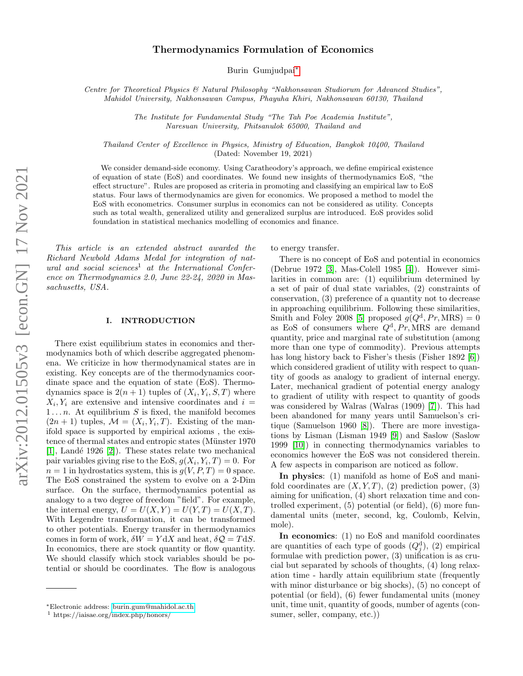# Thermodynamics Formulation of Economics

Burin Gumjudpai[∗](#page-0-0)

Centre for Theoretical Physics & Natural Philosophy "Nakhonsawan Studiorum for Advanced Studies", Mahidol University, Nakhonsawan Campus, Phayuha Khiri, Nakhonsawan 60130, Thailand

> The Institute for Fundamental Study "The Tah Poe Academia Institute", Naresuan University, Phitsanulok 65000, Thailand and

Thailand Center of Excellence in Physics, Ministry of Education, Bangkok 10400, Thailand (Dated: November 19, 2021)

We consider demand-side economy. Using Caratheodory's approach, we define empirical existence of equation of state (EoS) and coordinates. We found new insights of thermodynamics EoS, "the effect structure". Rules are proposed as criteria in promoting and classifying an empirical law to EoS status. Four laws of thermodynamics are given for economics. We proposed a method to model the EoS with econometrics. Consumer surplus in economics can not be considered as utility. Concepts such as total wealth, generalized utility and generalized surplus are introduced. EoS provides solid foundation in statistical mechanics modelling of economics and finance.

This article is an extended abstract awarded the Richard Newbold Adams Medal for integration of natural and social sciences<sup>1</sup> at the International Conference on Thermodynamics 2.0, June 22-24, 2020 in Massachusetts, USA.

### I. INTRODUCTION

There exist equilibrium states in economics and thermodynamics both of which describe aggregated phenomena. We criticize in how thermodynamical states are in existing. Key concepts are of the thermodynamics coordinate space and the equation of state (EoS). Thermodynamics space is  $2(n+1)$  tuples of  $(X_i, Y_i, S, T)$  where  $X_i, Y_i$  are extensive and intensive coordinates and  $i =$  $1 \ldots n$ . At equilibrium S is fixed, the manifold becomes  $(2n + 1)$  tuples,  $\mathcal{M} = (X_i, Y_i, T)$ . Existing of the manifold space is supported by empirical axioms , the existence of thermal states and entropic states (Münster 1970)  $[1]$ , Landé 1926  $[2]$ ). These states relate two mechanical pair variables giving rise to the EoS,  $g(X_i, Y_i, T) = 0$ . For  $n = 1$  in hydrostatics system, this is  $q(V, P, T) = 0$  space. The EoS constrained the system to evolve on a 2-Dim surface. On the surface, thermodynamics potential as analogy to a two degree of freedom "field". For example, the internal energy,  $U = U(X, Y) = U(Y, T) = U(X, T)$ . With Legendre transformation, it can be transformed to other potentials. Energy transfer in thermodynamics comes in form of work,  $\delta W = Y dX$  and heat,  $\delta Q = T dS$ . In economics, there are stock quantity or flow quantity. We should classify which stock variables should be potential or should be coordinates. The flow is analogous to energy transfer.

There is no concept of EoS and potential in economics (Debrue 1972 [\[3\]](#page-4-2), Mas-Colell 1985 [\[4\]](#page-4-3)). However similarities in common are: (1) equilibrium determined by a set of pair of dual state variables, (2) constraints of conservation, (3) preference of a quantity not to decrease in approaching equilibrium. Following these similarities, Smith and Foley 2008 [\[5\]](#page-4-4) proposed  $g(Q^d, Pr, MRS) = 0$ as EoS of consumers where  $Q^d$ ,  $Pr$ , MRS are demand quantity, price and marginal rate of substitution (among more than one type of commodity). Previous attempts has long history back to Fisher's thesis (Fisher 1892 [\[6\]](#page-4-5)) which considered gradient of utility with respect to quantity of goods as analogy to gradient of internal energy. Later, mechanical gradient of potential energy analogy to gradient of utility with respect to quantity of goods was considered by Walras (Walras (1909) [\[7\]](#page-4-6)). This had been abandoned for many years until Samuelson's critique (Samuelson 1960 [\[8\]](#page-4-7)). There are more investigations by Lisman (Lisman 1949 [\[9\]](#page-4-8)) and Saslow (Saslow 1999 [\[10\]](#page-4-9)) in connecting thermodynamics variables to economics however the EoS was not considered therein. A few aspects in comparison are noticed as follow.

In physics: (1) manifold as home of EoS and manifold coordinates are  $(X, Y, T)$ , (2) prediction power, (3) aiming for unification, (4) short relaxation time and controlled experiment, (5) potential (or field), (6) more fundamental units (meter, second, kg, Coulomb, Kelvin, mole).

In economics: (1) no EoS and manifold coordinates are quantities of each type of goods  $(Q_j^d)$ , (2) empirical formulae with prediction power, (3) unification is as crucial but separated by schools of thoughts, (4) long relaxation time - hardly attain equilibrium state (frequently with minor disturbance or big shocks), (5) no concept of potential (or field), (6) fewer fundamental units (money unit, time unit, quantity of goods, number of agents (consumer, seller, company, etc.))

<span id="page-0-0"></span><sup>∗</sup>Electronic address: [burin.gum@mahidol.ac.th](mailto:burin.gum@mahidol.ac.th)

<sup>1</sup> https://iaisae.org/index.php/honors/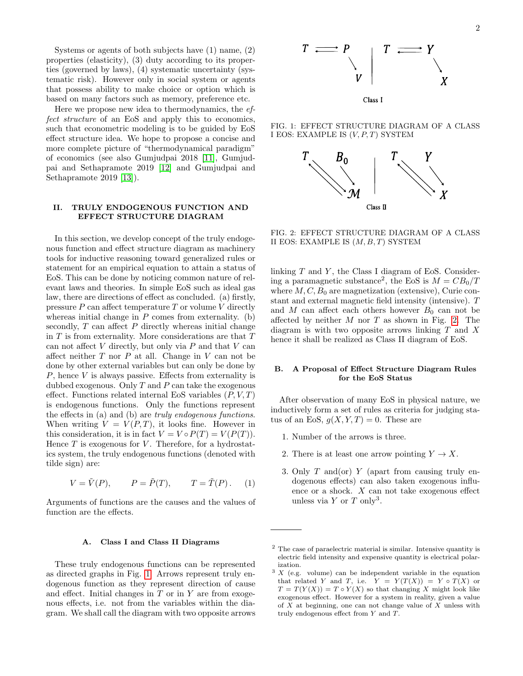Systems or agents of both subjects have (1) name, (2) properties (elasticity), (3) duty according to its properties (governed by laws), (4) systematic uncertainty (systematic risk). However only in social system or agents that possess ability to make choice or option which is based on many factors such as memory, preference etc.

Here we propose new idea to thermodynamics, the effect structure of an EoS and apply this to economics, such that econometric modeling is to be guided by EoS effect structure idea. We hope to propose a concise and more complete picture of "thermodynamical paradigm" of economics (see also Gumjudpai 2018 [\[11\]](#page-4-10), Gumjudpai and Sethapramote 2019 [\[12\]](#page-4-11) and Gumjudpai and Sethapramote 2019 [\[13\]](#page-4-12)).

# II. TRULY ENDOGENOUS FUNCTION AND EFFECT STRUCTURE DIAGRAM

In this section, we develop concept of the truly endogenous function and effect structure diagram as machinery tools for inductive reasoning toward generalized rules or statement for an empirical equation to attain a status of EoS. This can be done by noticing common nature of relevant laws and theories. In simple EoS such as ideal gas law, there are directions of effect as concluded. (a) firstly, pressure  $P$  can affect temperature  $T$  or volume  $V$  directly whereas initial change in  $P$  comes from externality. (b) secondly,  $T$  can affect  $P$  directly whereas initial change in  ${\cal T}$  is from externality. More considerations are that  ${\cal T}$ can not affect  $V$  directly, but only via  $P$  and that  $V$  can affect neither  $T$  nor  $P$  at all. Change in  $V$  can not be done by other external variables but can only be done by  $P$ , hence  $V$  is always passive. Effects from externality is dubbed exogenous. Only  $T$  and  $P$  can take the exogenous effect. Functions related internal EoS variables  $(P, V, T)$ is endogenous functions. Only the functions represent the effects in (a) and (b) are truly endogenous functions. When writing  $V = V(P,T)$ , it looks fine. However in this consideration, it is in fact  $V = V \circ P(T) = V(P(T)).$ Hence  $T$  is exogenous for  $V$ . Therefore, for a hydrostatics system, the truly endogenous functions (denoted with tilde sign) are:

$$
V = \tilde{V}(P), \qquad P = \tilde{P}(T), \qquad T = \tilde{T}(P). \tag{1}
$$

Arguments of functions are the causes and the values of function are the effects.

#### A. Class I and Class II Diagrams

These truly endogenous functions can be represented as directed graphs in Fig. [1.](#page-1-0) Arrows represent truly endogenous function as they represent direction of cause and effect. Initial changes in  $T$  or in  $Y$  are from exogenous effects, i.e. not from the variables within the diagram. We shall call the diagram with two opposite arrows

FIG. 1: EFFECT STRUCTURE DIAGRAM OF A CLASS I EOS: EXAMPLE IS  $(V, P, T)$  SYSTEM

<span id="page-1-0"></span>

<span id="page-1-1"></span>FIG. 2: EFFECT STRUCTURE DIAGRAM OF A CLASS II EOS: EXAMPLE IS  $(M, B, T)$  SYSTEM

linking  $T$  and  $Y$ , the Class I diagram of EoS. Considering a paramagnetic substance<sup>2</sup>, the EoS is  $M = CB_0/T$ where  $M, C, B_0$  are magnetization (extensive), Curie constant and external magnetic field intensity (intensive). T and M can affect each others however  $B_0$  can not be affected by neither  $M$  nor  $T$  as shown in Fig. [2.](#page-1-1) The diagram is with two opposite arrows linking  $T$  and  $X$ hence it shall be realized as Class II diagram of EoS.

# B. A Proposal of Effect Structure Diagram Rules for the EoS Status

After observation of many EoS in physical nature, we inductively form a set of rules as criteria for judging status of an EoS,  $g(X, Y, T) = 0$ . These are

- 1. Number of the arrows is three.
- 2. There is at least one arrow pointing  $Y \to X$ .
- 3. Only  $T$  and (or)  $Y$  (apart from causing truly endogenous effects) can also taken exogenous influence or a shock. X can not take exogenous effect unless via  $Y$  or  $T$  only<sup>3</sup>.

 $^{\rm 2}$  The case of paraelectric material is similar. Intensive quantity is electric field intensity and expensive quantity is electrical polarization.

 $3 X$  (e.g. volume) can be independent variable in the equation that related Y and T, i.e.  $Y = Y(T(X)) = Y \circ T(X)$  or  $T = T(Y(X)) = T \circ Y(X)$  so that changing X might look like exogenous effect. However for a system in reality, given a value of  $X$  at beginning, one can not change value of  $X$  unless with truly endogenous effect from Y and T.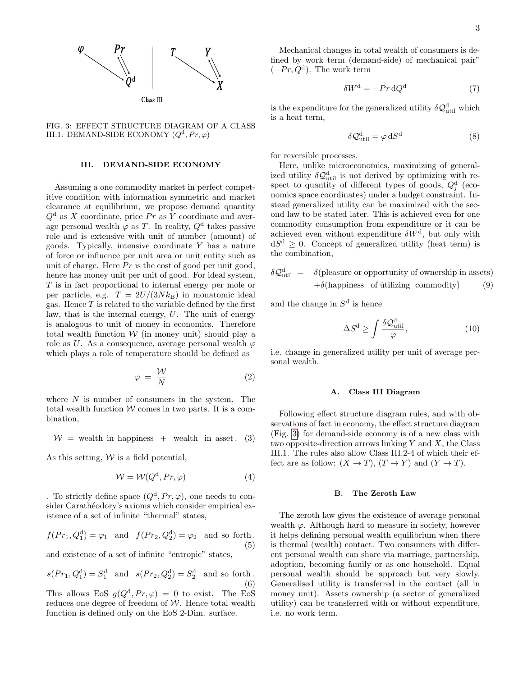

<span id="page-2-0"></span>FIG. 3: EFFECT STRUCTURE DIAGRAM OF A CLASS III.1: DEMAND-SIDE ECONOMY  $(Q<sup>d</sup>, Pr, \varphi)$ 

# III. DEMAND-SIDE ECONOMY

Assuming a one commodity market in perfect competitive condition with information symmetric and market clearance at equilibrium, we propose demand quantity  $Q^d$  as X coordinate, price Pr as Y coordinate and average personal wealth  $\varphi$  as T. In reality,  $Q^d$  takes passive role and is extensive with unit of number (amount) of goods. Typically, intensive coordinate Y has a nature of force or influence per unit area or unit entity such as unit of charge. Here  $Pr$  is the cost of good per unit good, hence has money unit per unit of good. For ideal system, T is in fact proportional to internal energy per mole or per particle, e.g.  $T = 2U/(3Nk_B)$  in monatomic ideal gas. Hence  $T$  is related to the variable defined by the first law, that is the internal energy, U. The unit of energy is analogous to unit of money in economics. Therefore total wealth function  $W$  (in money unit) should play a role as U. As a consequence, average personal wealth  $\varphi$ which plays a role of temperature should be defined as

$$
\varphi = \frac{\mathcal{W}}{N} \tag{2}
$$

where  $N$  is number of consumers in the system. The total wealth function  $W$  comes in two parts. It is a combination,

$$
W =
$$
 wealth in happens + wealth in asset. (3)

As this setting,  $W$  is a field potential,

$$
W = W(Q^d, Pr, \varphi)
$$
 (4)

. To strictly define space  $(Q^d, Pr, \varphi)$ , one needs to consider Carathéodory's axioms which consider empirical existence of a set of infinite "thermal" states,

$$
f(Pr_1, Q_1^d) = \varphi_1 \quad \text{and} \quad f(Pr_2, Q_2^d) = \varphi_2 \quad \text{and so forth}.
$$
\n(5)

and existence of a set of infinite "entropic" states,

$$
s(Pr_1, Q_1^d) = S_1^d
$$
 and  $s(Pr_2, Q_2^d) = S_2^d$  and so forth. (6)

This allows EoS  $g(Q^d, Pr, \varphi) = 0$  to exist. The EoS reduces one degree of freedom of  $W$ . Hence total wealth function is defined only on the EoS 2-Dim. surface.

Mechanical changes in total wealth of consumers is defined by work term (demand-side) of mechanical pair"  $(-Pr, Q^d)$ . The work term

$$
\delta W^{\rm d} = -Pr \, \mathrm{d}Q^{\rm d} \tag{7}
$$

is the expenditure for the generalized utility  $\delta \mathcal{Q}^{\rm{d}}_{\rm{util}}$  which is a heat term,

$$
\delta \mathcal{Q}_{\text{util}}^{\text{d}} = \varphi \, \text{d}S^{\text{d}} \tag{8}
$$

for reversible processes.

Here, unlike microeconomics, maximizing of generalized utility  $\delta \mathcal{Q}_{\text{util}}^{\text{d}}$  is not derived by optimizing with respect to quantity of different types of goods,  $Q_j^d$  (economics space coordinates) under a budget constraint. Instead generalized utility can be maximized with the second law to be stated later. This is achieved even for one commodity consumption from expenditure or it can be achieved even without expenditure  $\delta W^{\rm d}$ , but only with  $dS^d \geq 0$ . Concept of generalized utility (heat term) is the combination,

$$
\delta \mathcal{Q}_{util}^d = \delta(\text{pleaseure or opportunity of ownership in assets})
$$
  
+ $\delta(\text{happings of utilizing commodity})$  (9)

and the change in  $S<sup>d</sup>$  is hence

$$
\Delta S^{\rm d} \ge \int \frac{\delta \mathcal{Q}_{\rm util}^{\rm d}}{\varphi},\tag{10}
$$

i.e. change in generalized utility per unit of average personal wealth.

#### A. Class III Diagram

Following effect structure diagram rules, and with observations of fact in economy, the effect structure diagram (Fig. [3\)](#page-2-0) for demand-side economy is of a new class with two opposite-direction arrows linking  $Y$  and  $X$ , the Class III.1. The rules also allow Class III.2-4 of which their effect are as follow:  $(X \to T)$ ,  $(T \to Y)$  and  $(Y \to T)$ .

# B. The Zeroth Law

The zeroth law gives the existence of average personal wealth  $\varphi$ . Although hard to measure in society, however it helps defining personal wealth equilibrium when there is thermal (wealth) contact. Two consumers with different personal wealth can share via marriage, partnership, adoption, becoming family or as one household. Equal personal wealth should be approach but very slowly. Generalised utility is transferred in the contact (all in money unit). Assets ownership (a sector of generalized utility) can be transferred with or without expenditure, i.e. no work term.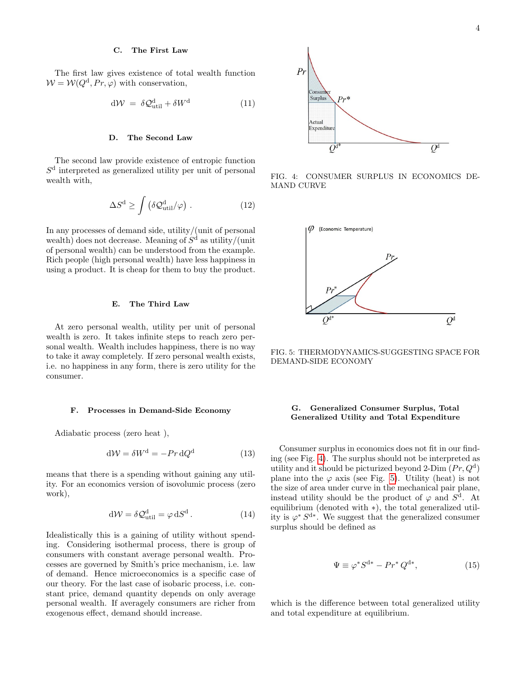### C. The First Law

The first law gives existence of total wealth function  $W = W(Q^d, Pr, \varphi)$  with conservation,

$$
d\mathcal{W} = \delta \mathcal{Q}_{\text{util}}^{\text{d}} + \delta W^{\text{d}} \tag{11}
$$

## D. The Second Law

The second law provide existence of entropic function  $S<sup>d</sup>$  interpreted as generalized utility per unit of personal wealth with,

$$
\Delta S^{\rm d} \ge \int \left( \delta \mathcal{Q}_{\rm util}^{\rm d} / \varphi \right) \,. \tag{12}
$$

In any processes of demand side, utility/(unit of personal wealth) does not decrease. Meaning of  $S<sup>d</sup>$  as utility/(unit of personal wealth) can be understood from the example. Rich people (high personal wealth) have less happiness in using a product. It is cheap for them to buy the product.

### E. The Third Law

At zero personal wealth, utility per unit of personal wealth is zero. It takes infinite steps to reach zero personal wealth. Wealth includes happiness, there is no way to take it away completely. If zero personal wealth exists, i.e. no happiness in any form, there is zero utility for the consumer.

#### F. Processes in Demand-Side Economy

Adiabatic process (zero heat ),

$$
dW = \delta W^d = -Pr dQ^d \tag{13}
$$

means that there is a spending without gaining any utility. For an economics version of isovolumic process (zero work),

$$
d\mathcal{W} = \delta \mathcal{Q}_{\text{util}}^{\text{d}} = \varphi \, dS^{\text{d}} \,. \tag{14}
$$

Idealistically this is a gaining of utility without spending. Considering isothermal process, there is group of consumers with constant average personal wealth. Processes are governed by Smith's price mechanism, i.e. law of demand. Hence microeconomics is a specific case of our theory. For the last case of isobaric process, i.e. constant price, demand quantity depends on only average personal wealth. If averagely consumers are richer from exogenous effect, demand should increase.



<span id="page-3-0"></span>FIG. 4: CONSUMER SURPLUS IN ECONOMICS DE-MAND CURVE



<span id="page-3-1"></span>FIG. 5: THERMODYNAMICS-SUGGESTING SPACE FOR DEMAND-SIDE ECONOMY

# G. Generalized Consumer Surplus, Total Generalized Utility and Total Expenditure

Consumer surplus in economics does not fit in our finding (see Fig. [4\)](#page-3-0). The surplus should not be interpreted as utility and it should be picturized beyond 2-Dim  $(Pr, Q<sup>d</sup>)$ plane into the  $\varphi$  axis (see Fig. [5\)](#page-3-1). Utility (heat) is not the size of area under curve in the mechanical pair plane, instead utility should be the product of  $\varphi$  and  $S^d$ . At equilibrium (denoted with ∗), the total generalized utility is  $\varphi^* S^{d*}$ . We suggest that the generalized consumer surplus should be defined as

$$
\Psi \equiv \varphi^* S^{d*} - Pr^* Q^{d*}, \qquad (15)
$$

which is the difference between total generalized utility and total expenditure at equilibrium.